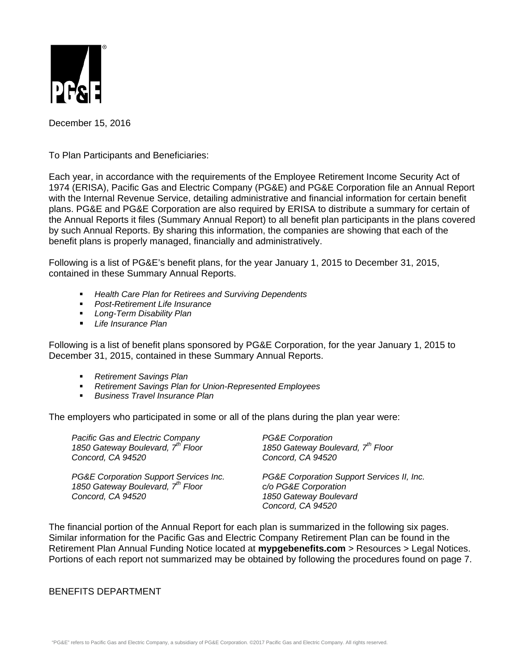

December 15, 2016

To Plan Participants and Beneficiaries:

Each year, in accordance with the requirements of the Employee Retirement Income Security Act of 1974 (ERISA), Pacific Gas and Electric Company (PG&E) and PG&E Corporation file an Annual Report with the Internal Revenue Service, detailing administrative and financial information for certain benefit plans. PG&E and PG&E Corporation are also required by ERISA to distribute a summary for certain of the Annual Reports it files (Summary Annual Report) to all benefit plan participants in the plans covered by such Annual Reports. By sharing this information, the companies are showing that each of the benefit plans is properly managed, financially and administratively.

Following is a list of PG&E's benefit plans, for the year January 1, 2015 to December 31, 2015, contained in these Summary Annual Reports.

- *Health Care Plan for Retirees and Surviving Dependents*
- *Post-Retirement Life Insurance*
- *Long-Term Disability Plan*
- *Life Insurance Plan*

Following is a list of benefit plans sponsored by PG&E Corporation, for the year January 1, 2015 to December 31, 2015, contained in these Summary Annual Reports.

- *Retirement Savings Plan*
- *Retirement Savings Plan for Union-Represented Employees*
- *Business Travel Insurance Plan*

The employers who participated in some or all of the plans during the plan year were:

| Pacific Gas and Electric Company<br>1850 Gateway Boulevard, 7 <sup>th</sup> Floor<br>Concord, CA 94520 | <b>PG&amp;E Corporation</b><br>1850 Gateway Boulevard, 7 <sup>th</sup> Floor<br>Concord, CA 94520                 |
|--------------------------------------------------------------------------------------------------------|-------------------------------------------------------------------------------------------------------------------|
| PG&E Corporation Support Services Inc.<br>1850 Gateway Boulevard, 7th Floor<br>Concord, CA 94520       | PG&E Corporation Support Services II, Inc.<br>c/o PG&E Corporation<br>1850 Gateway Boulevard<br>Concord, CA 94520 |

The financial portion of the Annual Report for each plan is summarized in the following six pages. Similar information for the Pacific Gas and Electric Company Retirement Plan can be found in the Retirement Plan Annual Funding Notice located at **mypgebenefits.com** > Resources > Legal Notices. Portions of each report not summarized may be obtained by following the procedures found on page 7.

## BENEFITS DEPARTMENT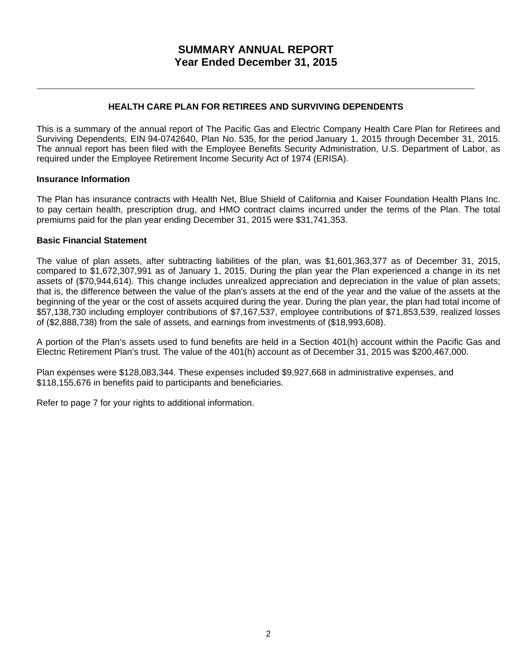## **HEALTH CARE PLAN FOR RETIREES AND SURVIVING DEPENDENTS**

This is a summary of the annual report of The Pacific Gas and Electric Company Health Care Plan for Retirees and Surviving Dependents, EIN 94-0742640, Plan No. 535, for the period January 1, 2015 through December 31, 2015. The annual report has been filed with the Employee Benefits Security Administration, U.S. Department of Labor, as required under the Employee Retirement Income Security Act of 1974 (ERISA).

## **Insurance Information**

The Plan has insurance contracts with Health Net, Blue Shield of California and Kaiser Foundation Health Plans Inc. to pay certain health, prescription drug, and HMO contract claims incurred under the terms of the Plan. The total premiums paid for the plan year ending December 31, 2015 were \$31,741,353.

### **Basic Financial Statement**

The value of plan assets, after subtracting liabilities of the plan, was \$1,601,363,377 as of December 31, 2015, compared to \$1,672,307,991 as of January 1, 2015. During the plan year the Plan experienced a change in its net assets of (\$70,944,614). This change includes unrealized appreciation and depreciation in the value of plan assets; that is, the difference between the value of the plan's assets at the end of the year and the value of the assets at the beginning of the year or the cost of assets acquired during the year. During the plan year, the plan had total income of \$57,138,730 including employer contributions of \$7,167,537, employee contributions of \$71,853,539, realized losses of (\$2,888,738) from the sale of assets, and earnings from investments of (\$18,993,608).

A portion of the Plan's assets used to fund benefits are held in a Section 401(h) account within the Pacific Gas and Electric Retirement Plan's trust. The value of the 401(h) account as of December 31, 2015 was \$200,467,000.

Plan expenses were \$128,083,344. These expenses included \$9,927,668 in administrative expenses, and \$118,155,676 in benefits paid to participants and beneficiaries.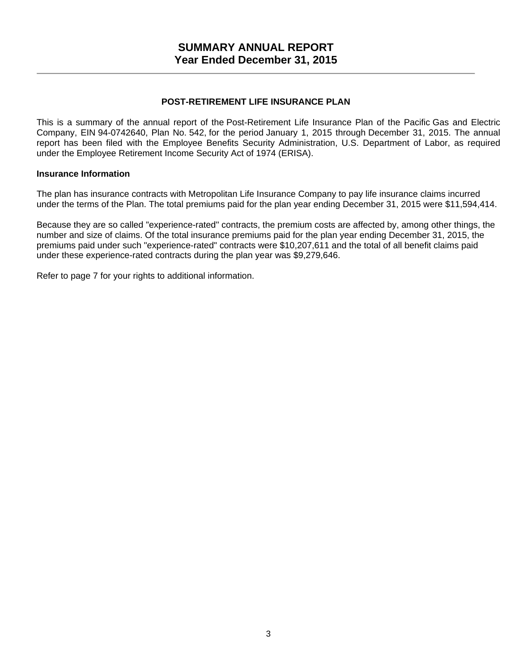## **POST-RETIREMENT LIFE INSURANCE PLAN**

This is a summary of the annual report of the Post-Retirement Life Insurance Plan of the Pacific Gas and Electric Company, EIN 94-0742640, Plan No. 542, for the period January 1, 2015 through December 31, 2015. The annual report has been filed with the Employee Benefits Security Administration, U.S. Department of Labor, as required under the Employee Retirement Income Security Act of 1974 (ERISA).

#### **Insurance Information**

The plan has insurance contracts with Metropolitan Life Insurance Company to pay life insurance claims incurred under the terms of the Plan. The total premiums paid for the plan year ending December 31, 2015 were \$11,594,414.

Because they are so called "experience-rated" contracts, the premium costs are affected by, among other things, the number and size of claims. Of the total insurance premiums paid for the plan year ending December 31, 2015, the premiums paid under such "experience-rated" contracts were \$10,207,611 and the total of all benefit claims paid under these experience-rated contracts during the plan year was \$9,279,646.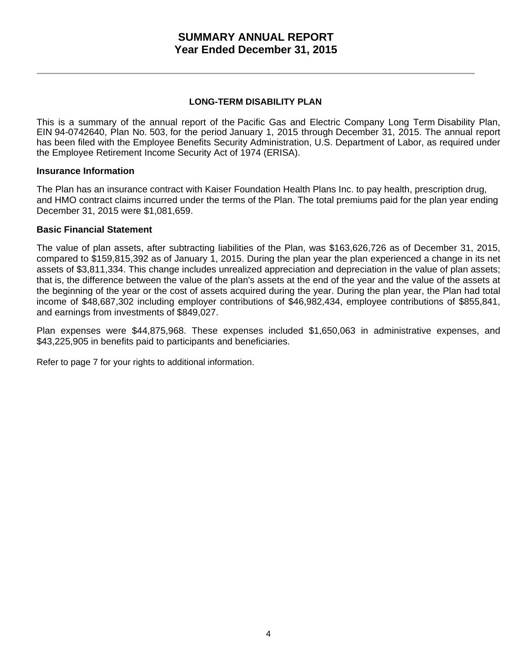## **LONG-TERM DISABILITY PLAN**

This is a summary of the annual report of the Pacific Gas and Electric Company Long Term Disability Plan, EIN 94-0742640, Plan No. 503, for the period January 1, 2015 through December 31, 2015. The annual report has been filed with the Employee Benefits Security Administration, U.S. Department of Labor, as required under the Employee Retirement Income Security Act of 1974 (ERISA).

## **Insurance Information**

The Plan has an insurance contract with Kaiser Foundation Health Plans Inc. to pay health, prescription drug, and HMO contract claims incurred under the terms of the Plan. The total premiums paid for the plan year ending December 31, 2015 were \$1,081,659.

## **Basic Financial Statement**

The value of plan assets, after subtracting liabilities of the Plan, was \$163,626,726 as of December 31, 2015, compared to \$159,815,392 as of January 1, 2015. During the plan year the plan experienced a change in its net assets of \$3,811,334. This change includes unrealized appreciation and depreciation in the value of plan assets; that is, the difference between the value of the plan's assets at the end of the year and the value of the assets at the beginning of the year or the cost of assets acquired during the year. During the plan year, the Plan had total income of \$48,687,302 including employer contributions of \$46,982,434, employee contributions of \$855,841, and earnings from investments of \$849,027.

Plan expenses were \$44,875,968. These expenses included \$1,650,063 in administrative expenses, and \$43,225,905 in benefits paid to participants and beneficiaries.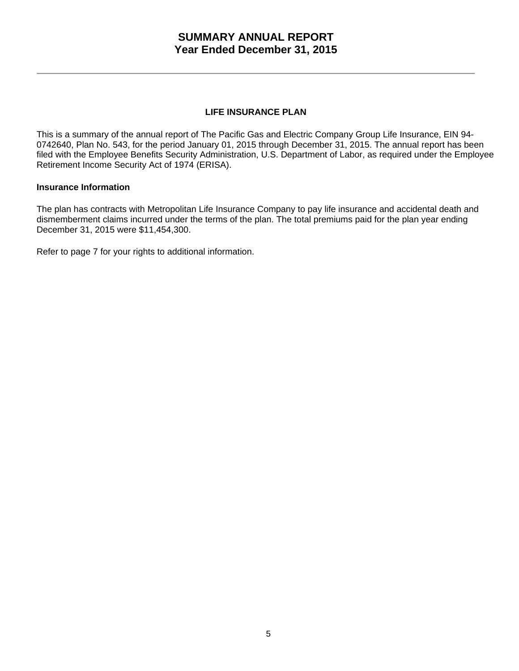## **LIFE INSURANCE PLAN**

This is a summary of the annual report of The Pacific Gas and Electric Company Group Life Insurance, EIN 94- 0742640, Plan No. 543, for the period January 01, 2015 through December 31, 2015. The annual report has been filed with the Employee Benefits Security Administration, U.S. Department of Labor, as required under the Employee Retirement Income Security Act of 1974 (ERISA).

### **Insurance Information**

The plan has contracts with Metropolitan Life Insurance Company to pay life insurance and accidental death and dismemberment claims incurred under the terms of the plan. The total premiums paid for the plan year ending December 31, 2015 were \$11,454,300.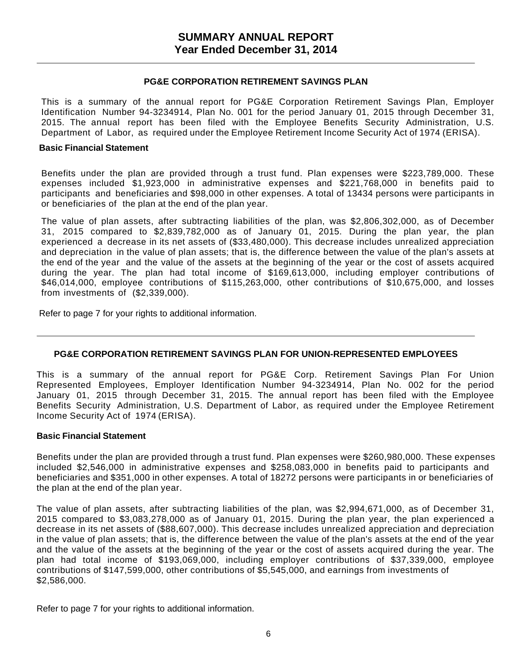### **PG&E CORPORATION RETIREMENT SAVINGS PLAN**

This is a summary of the annual report for PG&E Corporation Retirement Savings Plan, Employer Identification Number 94-3234914, Plan No. 001 for the period January 01, 2015 through December 31, 2015. The annual report has been filed with the Employee Benefits Security Administration, U.S. Department of Labor, as required under the Employee Retirement Income Security Act of 1974 (ERISA).

#### **Basic Financial Statement**

Benefits under the plan are provided through a trust fund. Plan expenses were \$223,789,000. These expenses included \$1,923,000 in administrative expenses and \$221,768,000 in benefits paid to participants and beneficiaries and \$98,000 in other expenses. A total of 13434 persons were participants in or beneficiaries of the plan at the end of the plan year.

The value of plan assets, after subtracting liabilities of the plan, was \$2,806,302,000, as of December 31, 2015 compared to \$2,839,782,000 as of January 01, 2015. During the plan year, the plan experienced a decrease in its net assets of (\$33,480,000). This decrease includes unrealized appreciation and depreciation in the value of plan assets; that is, the difference between the value of the plan's assets at the end of the year and the value of the assets at the beginning of the year or the cost of assets acquired during the year. The plan had total income of \$169,613,000, including employer contributions of \$46,014,000, employee contributions of \$115,263,000, other contributions of \$10,675,000, and losses from investments of (\$2,339,000).

Refer to page 7 for your rights to additional information.

## **PG&E CORPORATION RETIREMENT SAVINGS PLAN FOR UNION-REPRESENTED EMPLOYEES**

This is a summary of the annual report for PG&E Corp. Retirement Savings Plan For Union Represented Employees, Employer Identification Number 94-3234914, Plan No. 002 for the period January 01, 2015 through December 31, 2015. The annual report has been filed with the Employee Benefits Security Administration, U.S. Department of Labor, as required under the Employee Retirement Income Security Act of 1974 (ERISA).

#### **Basic Financial Statement**

Benefits under the plan are provided through a trust fund. Plan expenses were \$260,980,000. These expenses included \$2,546,000 in administrative expenses and \$258,083,000 in benefits paid to participants and beneficiaries and \$351,000 in other expenses. A total of 18272 persons were participants in or beneficiaries of the plan at the end of the plan year.

The value of plan assets, after subtracting liabilities of the plan, was \$2,994,671,000, as of December 31, 2015 compared to \$3,083,278,000 as of January 01, 2015. During the plan year, the plan experienced a decrease in its net assets of (\$88,607,000). This decrease includes unrealized appreciation and depreciation in the value of plan assets; that is, the difference between the value of the plan's assets at the end of the year and the value of the assets at the beginning of the year or the cost of assets acquired during the year. The plan had total income of \$193,069,000, including employer contributions of \$37,339,000, employee contributions of \$147,599,000, other contributions of \$5,545,000, and earnings from investments of \$2,586,000.